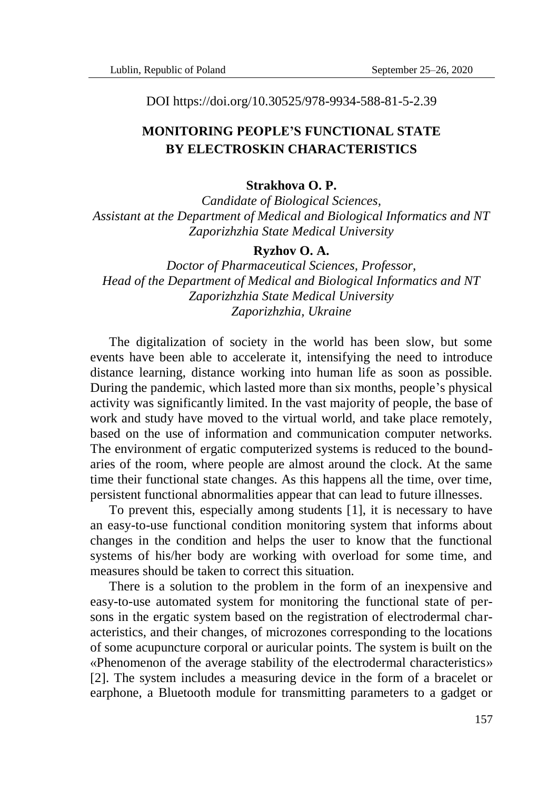DOI https://doi.org/10.30525/978-9934-588-81-5-2.39

## **MONITORING PEOPLE'S FUNCTIONAL STATE BY ELECTROSKIN CHARACTERISTICS**

## **Strakhova O. P.**

*Candidate of Biological Sciences, Assistant at the Department of Medical and Biological Informatics and NT Zaporizhzhia State Medical University*

## **Ryzhov O. A.**

*Doctor of Pharmaceutical Sciences, Professor, Head of the Department of Medical and Biological Informatics and NT Zaporizhzhia State Medical University Zaporizhzhia, Ukraine*

The digitalization of society in the world has been slow, but some events have been able to accelerate it, intensifying the need to introduce distance learning, distance working into human life as soon as possible. During the pandemic, which lasted more than six months, people's physical activity was significantly limited. In the vast majority of people, the base of work and study have moved to the virtual world, and take place remotely, based on the use of information and communication computer networks. The environment of ergatic computerized systems is reduced to the boundaries of the room, where people are almost around the clock. At the same time their functional state changes. As this happens all the time, over time, persistent functional abnormalities appear that can lead to future illnesses.

To prevent this, especially among students [1], it is necessary to have an easy-to-use functional condition monitoring system that informs about changes in the condition and helps the user to know that the functional systems of his/her body are working with overload for some time, and measures should be taken to correct this situation.

There is a solution to the problem in the form of an inexpensive and easy-to-use automated system for monitoring the functional state of persons in the ergatic system based on the registration of electrodermal characteristics, and their changes, of microzones corresponding to the locations of some acupuncture corporal or auricular points. The system is built on the «Phenomenon of the average stability of the electrodermal characteristics» [2]. The system includes a measuring device in the form of a bracelet or earphone, a Bluetooth module for transmitting parameters to a gadget or